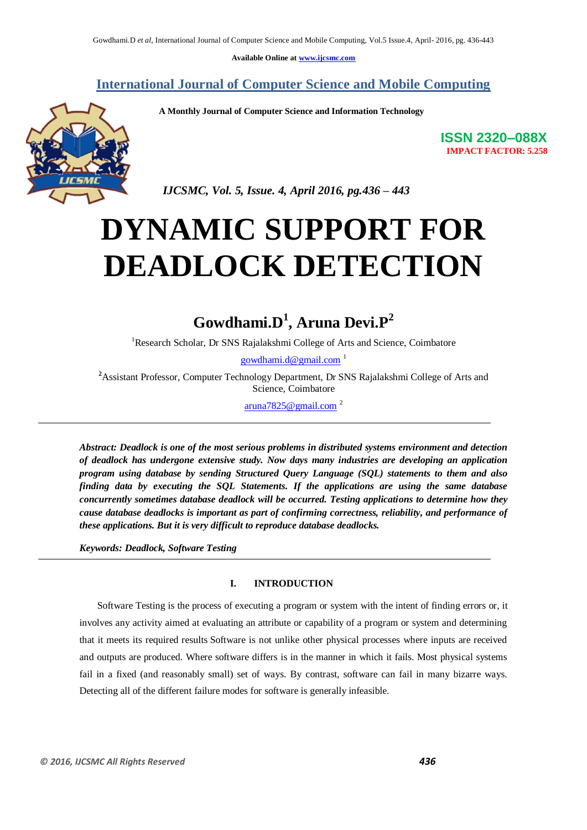**Available Online at www.ijcsmc.com**

**International Journal of Computer Science and Mobile Computing**

 **A Monthly Journal of Computer Science and Information Technology**



**ISSN 2320–088X IMPACT FACTOR: 5.258**

 *IJCSMC, Vol. 5, Issue. 4, April 2016, pg.436 – 443*

# **DYNAMIC SUPPORT FOR DEADLOCK DETECTION**

# **Gowdhami.D<sup>1</sup> , Aruna Devi.P<sup>2</sup>**

<sup>1</sup>Research Scholar, Dr SNS Rajalakshmi College of Arts and Science, Coimbatore

gowdhami.d@gmail.com  $1$ 

**<sup>2</sup>**Assistant Professor, Computer Technology Department, Dr SNS Rajalakshmi College of Arts and Science, Coimbatore

aruna7825@gmail.com<sup>2</sup>

*Abstract: Deadlock is one of the most serious problems in distributed systems environment and detection of deadlock has undergone extensive study. Now days many industries are developing an application program using database by sending Structured Query Language (SQL) statements to them and also finding data by executing the SQL Statements. If the applications are using the same database concurrently sometimes database deadlock will be occurred. Testing applications to determine how they cause database deadlocks is important as part of confirming correctness, reliability, and performance of these applications. But it is very difficult to reproduce database deadlocks.*

*Keywords: Deadlock, Software Testing* 

### **I. INTRODUCTION**

Software Testing is the process of executing a program or system with the intent of finding errors or, it involves any activity aimed at evaluating an attribute or capability of a program or system and determining that it meets its required results Software is not unlike other physical processes where inputs are received and outputs are produced. Where software differs is in the manner in which it fails. Most physical systems fail in a fixed (and reasonably small) set of ways. By contrast, software can fail in many bizarre ways. Detecting all of the different failure modes for software is generally infeasible.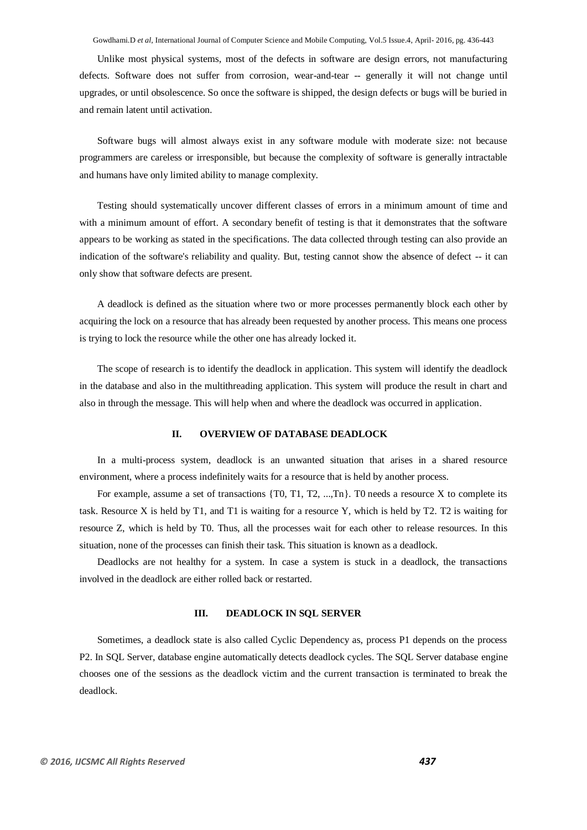Gowdhami.D *et al*, International Journal of Computer Science and Mobile Computing, Vol.5 Issue.4, April- 2016, pg. 436-443

Unlike most physical systems, most of the defects in software are design errors, not manufacturing defects. Software does not suffer from corrosion, wear-and-tear -- generally it will not change until upgrades, or until obsolescence. So once the software is shipped, the design defects or bugs will be buried in and remain latent until activation.

Software bugs will almost always exist in any software module with moderate size: not because programmers are careless or irresponsible, but because the complexity of software is generally intractable and humans have only limited ability to manage complexity.

Testing should systematically uncover different classes of errors in a minimum amount of time and with a minimum amount of effort. A secondary benefit of testing is that it demonstrates that the software appears to be working as stated in the specifications. The data collected through testing can also provide an indication of the software's reliability and quality. But, testing cannot show the absence of defect -- it can only show that software defects are present.

A deadlock is defined as the situation where two or more processes permanently block each other by acquiring the lock on a resource that has already been requested by another process. This means one process is trying to lock the resource while the other one has already locked it.

The scope of research is to identify the deadlock in application. This system will identify the deadlock in the database and also in the multithreading application. This system will produce the result in chart and also in through the message. This will help when and where the deadlock was occurred in application.

#### **II. OVERVIEW OF DATABASE DEADLOCK**

In a multi-process system, deadlock is an unwanted situation that arises in a shared resource environment, where a process indefinitely waits for a resource that is held by another process.

For example, assume a set of transactions  $\{T0, T1, T2, ..., Tn\}$ . T0 needs a resource X to complete its task. Resource X is held by T1, and T1 is waiting for a resource Y, which is held by T2. T2 is waiting for resource Z, which is held by T0. Thus, all the processes wait for each other to release resources. In this situation, none of the processes can finish their task. This situation is known as a deadlock.

Deadlocks are not healthy for a system. In case a system is stuck in a deadlock, the transactions involved in the deadlock are either rolled back or restarted.

#### **III. DEADLOCK IN SQL SERVER**

Sometimes, a deadlock state is also called Cyclic Dependency as, process P1 depends on the process P2. In SQL Server, database engine automatically detects deadlock cycles. The SQL Server database engine chooses one of the sessions as the deadlock victim and the current transaction is terminated to break the deadlock.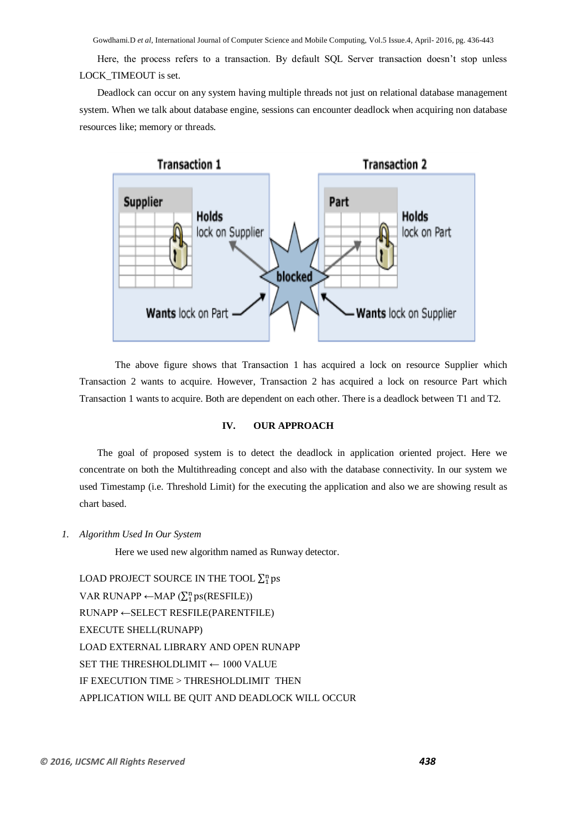Gowdhami.D *et al*, International Journal of Computer Science and Mobile Computing, Vol.5 Issue.4, April- 2016, pg. 436-443

Here, the process refers to a transaction. By default SQL Server transaction doesn't stop unless LOCK\_TIMEOUT is set.

Deadlock can occur on any system having multiple threads not just on relational database management system. When we talk about database engine, sessions can encounter deadlock when acquiring non database resources like; memory or threads.



The above figure shows that Transaction 1 has acquired a lock on resource Supplier which Transaction 2 wants to acquire. However, Transaction 2 has acquired a lock on resource Part which Transaction 1 wants to acquire. Both are dependent on each other. There is a deadlock between T1 and T2.

## **IV. OUR APPROACH**

The goal of proposed system is to detect the deadlock in application oriented project. Here we concentrate on both the Multithreading concept and also with the database connectivity. In our system we used Timestamp (i.e. Threshold Limit) for the executing the application and also we are showing result as chart based.

*1. Algorithm Used In Our System*

Here we used new algorithm named as Runway detector.

LOAD PROJECT SOURCE IN THE TOOL  $\Sigma_1^{\rm n}$  p VAR RUNAPP ← MAP ( $\Sigma_1^n$  ps(RESFILE)) RUNAPP ←SELECT RESFILE(PARENTFILE) EXECUTE SHELL(RUNAPP) LOAD EXTERNAL LIBRARY AND OPEN RUNAPP SET THE THRESHOLDLIMIT ← 1000 VALUE IF EXECUTION TIME > THRESHOLDLIMIT THEN APPLICATION WILL BE QUIT AND DEADLOCK WILL OCCUR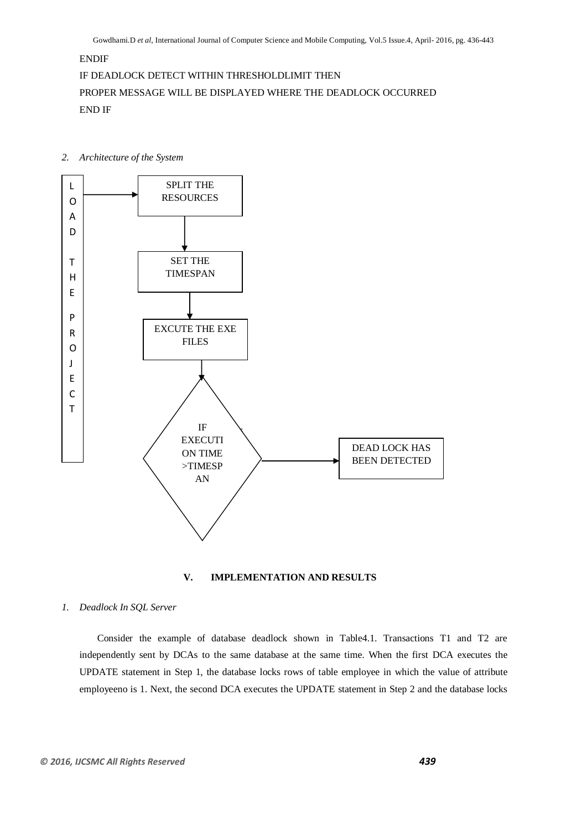# ENDIF

#### IF DEADLOCK DETECT WITHIN THRESHOLDLIMIT THEN

PROPER MESSAGE WILL BE DISPLAYED WHERE THE DEADLOCK OCCURRED END IF

*2. Architecture of the System*





#### *1. Deadlock In SQL Server*

Consider the example of database deadlock shown in Table4.1. Transactions T1 and T2 are independently sent by DCAs to the same database at the same time. When the first DCA executes the UPDATE statement in Step 1, the database locks rows of table employee in which the value of attribute employeeno is 1. Next, the second DCA executes the UPDATE statement in Step 2 and the database locks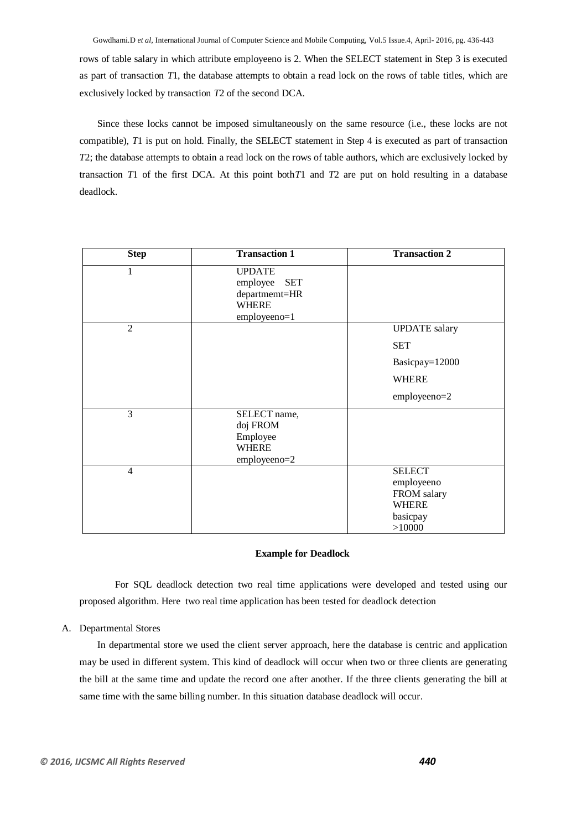rows of table salary in which attribute employeeno is 2. When the SELECT statement in Step 3 is executed as part of transaction *T*1, the database attempts to obtain a read lock on the rows of table titles, which are exclusively locked by transaction *T*2 of the second DCA.

Since these locks cannot be imposed simultaneously on the same resource (i.e., these locks are not compatible), *T*1 is put on hold. Finally, the SELECT statement in Step 4 is executed as part of transaction *T*2; the database attempts to obtain a read lock on the rows of table authors, which are exclusively locked by transaction *T*1 of the first DCA. At this point both*T*1 and *T*2 are put on hold resulting in a database deadlock.

| <b>Step</b>    | <b>Transaction 1</b>                                                                     | <b>Transaction 2</b>                                                             |
|----------------|------------------------------------------------------------------------------------------|----------------------------------------------------------------------------------|
| 1              | <b>UPDATE</b><br><b>SET</b><br>employee<br>departmemt=HR<br><b>WHERE</b><br>employeeno=1 |                                                                                  |
| $\overline{2}$ |                                                                                          | <b>UPDATE</b> salary                                                             |
|                |                                                                                          | <b>SET</b>                                                                       |
|                |                                                                                          | Basicpay=12000                                                                   |
|                |                                                                                          | <b>WHERE</b>                                                                     |
|                |                                                                                          | employeeno=2                                                                     |
| $\overline{3}$ | SELECT name,<br>doj FROM<br>Employee<br><b>WHERE</b><br>employeeno=2                     |                                                                                  |
| $\overline{4}$ |                                                                                          | <b>SELECT</b><br>employeeno<br>FROM salary<br><b>WHERE</b><br>basicpay<br>>10000 |

#### **Example for Deadlock**

For SQL deadlock detection two real time applications were developed and tested using our proposed algorithm. Here two real time application has been tested for deadlock detection

#### A. Departmental Stores

In departmental store we used the client server approach, here the database is centric and application may be used in different system. This kind of deadlock will occur when two or three clients are generating the bill at the same time and update the record one after another. If the three clients generating the bill at same time with the same billing number. In this situation database deadlock will occur.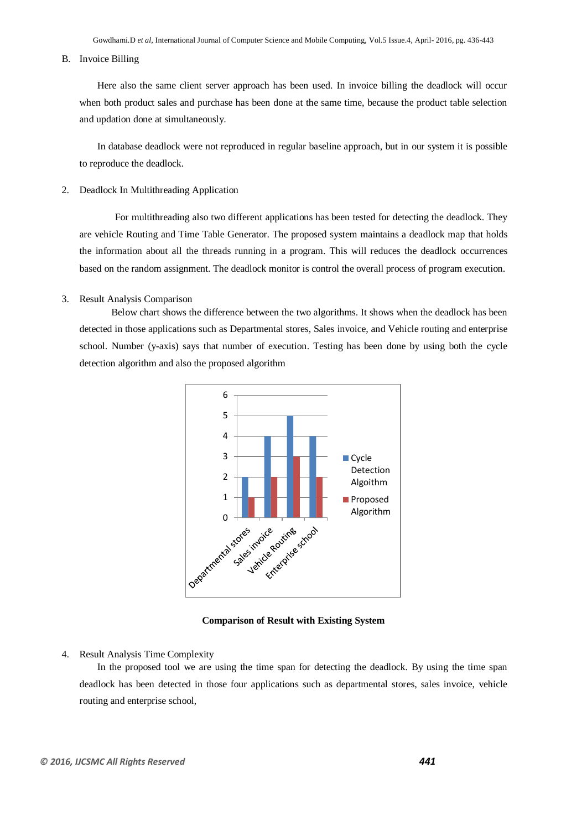#### B. Invoice Billing

Here also the same client server approach has been used. In invoice billing the deadlock will occur when both product sales and purchase has been done at the same time, because the product table selection and updation done at simultaneously.

In database deadlock were not reproduced in regular baseline approach, but in our system it is possible to reproduce the deadlock.

2. Deadlock In Multithreading Application

For multithreading also two different applications has been tested for detecting the deadlock. They are vehicle Routing and Time Table Generator. The proposed system maintains a deadlock map that holds the information about all the threads running in a program. This will reduces the deadlock occurrences based on the random assignment. The deadlock monitor is control the overall process of program execution.

#### 3. Result Analysis Comparison

Below chart shows the difference between the two algorithms. It shows when the deadlock has been detected in those applications such as Departmental stores, Sales invoice, and Vehicle routing and enterprise school. Number (y-axis) says that number of execution. Testing has been done by using both the cycle detection algorithm and also the proposed algorithm



**Comparison of Result with Existing System**

#### 4. Result Analysis Time Complexity

In the proposed tool we are using the time span for detecting the deadlock. By using the time span deadlock has been detected in those four applications such as departmental stores, sales invoice, vehicle routing and enterprise school,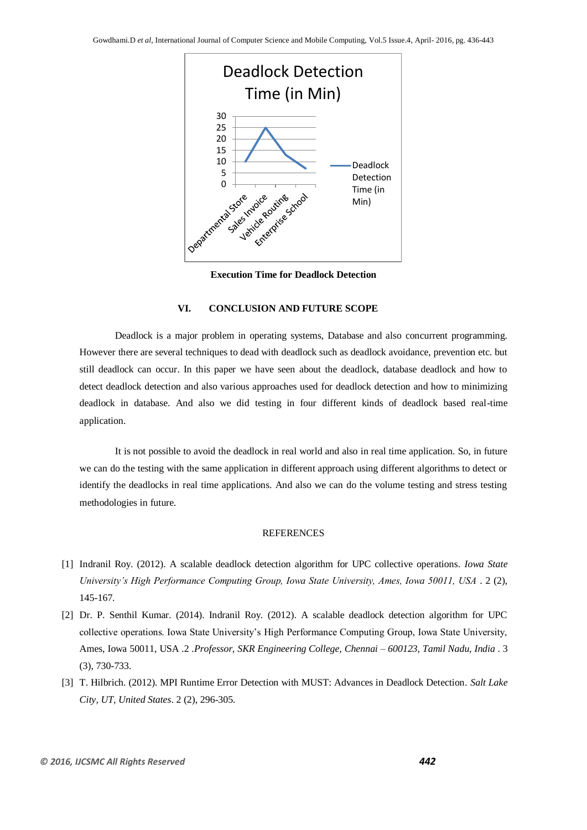

**Execution Time for Deadlock Detection**

# **VI. CONCLUSION AND FUTURE SCOPE**

Deadlock is a major problem in operating systems, Database and also concurrent programming. However there are several techniques to dead with deadlock such as deadlock avoidance, prevention etc. but still deadlock can occur. In this paper we have seen about the deadlock, database deadlock and how to detect deadlock detection and also various approaches used for deadlock detection and how to minimizing deadlock in database. And also we did testing in four different kinds of deadlock based real-time application.

It is not possible to avoid the deadlock in real world and also in real time application. So, in future we can do the testing with the same application in different approach using different algorithms to detect or identify the deadlocks in real time applications. And also we can do the volume testing and stress testing methodologies in future.

#### REFERENCES

- [1] Indranil Roy. (2012). A scalable deadlock detection algorithm for UPC collective operations. *Iowa State University's High Performance Computing Group, Iowa State University, Ames, Iowa 50011, USA* . 2 (2), 145-167.
- [2] Dr. P. Senthil Kumar. (2014). Indranil Roy. (2012). A scalable deadlock detection algorithm for UPC collective operations. Iowa State University's High Performance Computing Group, Iowa State University, Ames, Iowa 50011, USA .2 .*Professor, SKR Engineering College, Chennai – 600123, Tamil Nadu, India* . 3 (3), 730-733.
- [3] T. Hilbrich. (2012). MPI Runtime Error Detection with MUST: Advances in Deadlock Detection. *Salt Lake City, UT, United States*. 2 (2), 296-305.